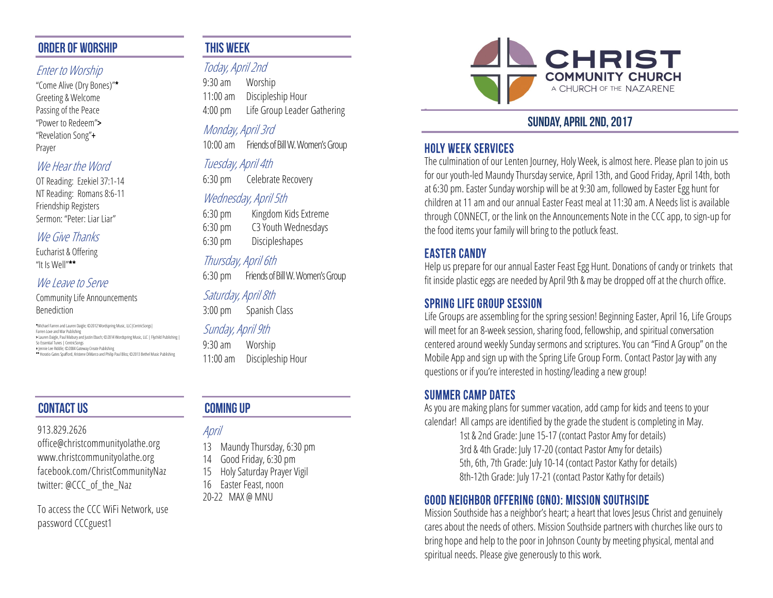#### **ORDER OF WORSHIP**

#### Enter to Worship

"Come Alive (Dry Bones)"\* Greeting & Welcome Passing of the Peace "Power to Redeem"> "Revelation Song"+ Prayer

#### We Hear the Word

OT Reading: Ezekiel 37:1-14 NT Reading: Romans 8:6-11 Friendship Registers Sermon: "Peter: Liar Liar"

#### We Give Thanks

Eucharist & Offering "It Is Well"\*\*

#### We Leave to Serve

Community Life Announcements

#### Benediction

 \*Michael Farren and Lauren Daigle; ©2012 Wordspring Music, LLC|CentricSongs| Farren Love and War Publishing

- > Lauren Daigle, Paul Mabury and Justin Ebach; ©2014 Wordspring Music, LLC | Flychild Publishing |
- So Essential Tunes | CentricSongs + Jennie Lee Riddle; ©2004 Gateway Create Publishing
- \*\* Horatio Gates Spafford, Kristene DiMarco and Philip Paul Bliss; ©2013 Bethel Music Publishing

# **CONTACT US**

#### 913.829.2626

office@christcommunityolathe.org www.christcommunityolathe.org facebook.com/ChristCommunityNaz twitter: @CCC\_of\_the\_Naz

To access the CCC WiFi Network, use password CCCguest1

## **THIS WEEK**

# Today, April 2nd

9:30 am Worship 11:00 am Discipleship Hour 4:00 pm Life Group Leader Gathering

## Monday, April 3rd

10:00 am Friends of Bill W. Women's Group

# Tuesday, April 4th

6:30 pm Celebrate Recovery

### Wednesday, April 5th

6:30 pm Kingdom Kids Extreme 6:30 pm C3 Youth Wednesdays 6:30 pm Discipleshapes

#### Thursday, April 6th

6:30 pm Friends of Bill W. Women's Group

#### Saturday, April 8th

3:00 pm Spanish Class

#### Sunday, April 9th

9:30 am Worship 11:00 am Discipleship Hour

# **COMING UP**

April

- 13 Maundy Thursday, 6:30 pm
- 14 Good Friday, 6:30 pm
- 15 Holy Saturday Prayer Vigil
- 16 Easter Feast, noon
- 20-22 MAX @ MNU



# **SUNDAY, APRIL 2ND, 2017**

### **HOLY WEEK SERVICES**

The culmination of our Lenten Journey, Holy Week, is almost here. Please plan to join us for our youth-led Maundy Thursday service, April 13th, and Good Friday, April 14th, both at 6:30 pm. Easter Sunday worship will be at 9:30 am, followed by Easter Egg hunt for children at 11 am and our annual Easter Feast meal at 11:30 am. A Needs list is available through CONNECT, or the link on the Announcements Note in the CCC app, to sign-up for the food items your family will bring to the potluck feast.

# **EASTER CANDY**

Help us prepare for our annual Easter Feast Egg Hunt. Donations of candy or trinkets that fit inside plastic eggs are needed by April 9th & may be dropped off at the church office.

### **SPRING LIFE GROUP SESSION**

Life Groups are assembling for the spring session! Beginning Easter, April 16, Life Groups will meet for an 8-week session, sharing food, fellowship, and spiritual conversation centered around weekly Sunday sermons and scriptures. You can "Find A Group" on the Mobile App and sign up with the Spring Life Group Form. Contact Pastor Jay with any questions or if you're interested in hosting/leading a new group!

### **SUMMER CAMP DATES**

As you are making plans for summer vacation, add camp for kids and teens to your calendar! All camps are identified by the grade the student is completing in May.

1st & 2nd Grade: June 15-17 (contact Pastor Amy for details) 3rd & 4th Grade: July 17-20 (contact Pastor Amy for details) 5th, 6th, 7th Grade: July 10-14 (contact Pastor Kathy for details) 8th-12th Grade: July 17-21 (contact Pastor Kathy for details)

# GOOD NEIGHBOR OFFERING (GNO): MISSION SOUTHSIDE

Mission Southside has a neighbor's heart; a heart that loves Jesus Christ and genuinely cares about the needs of others. Mission Southside partners with churches like ours to bring hope and help to the poor in Johnson County by meeting physical, mental and spiritual needs. Please give generously to this work.